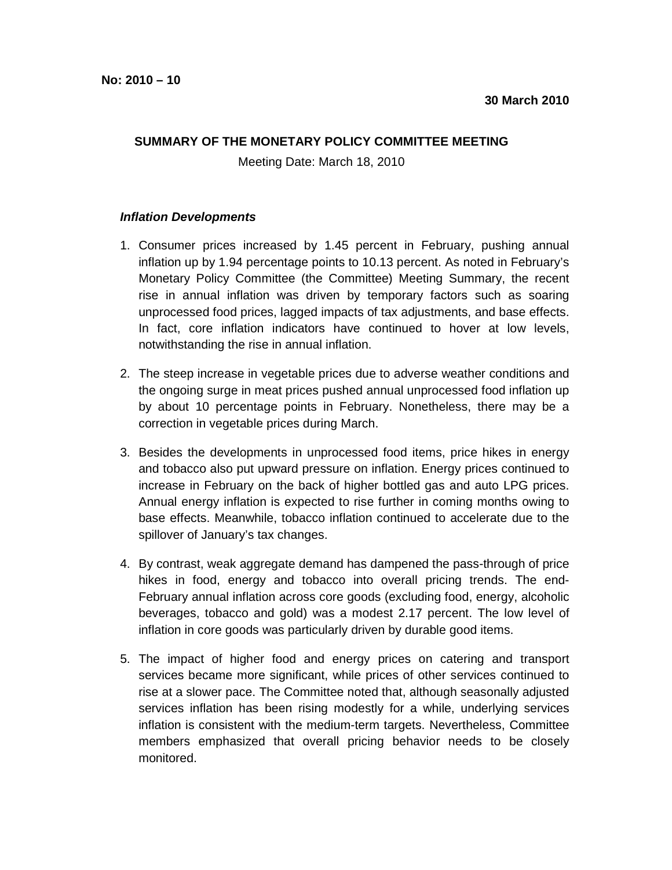## **SUMMARY OF THE MONETARY POLICY COMMITTEE MEETING**

Meeting Date: March 18, 2010

## **Inflation Developments**

- 1. Consumer prices increased by 1.45 percent in February, pushing annual inflation up by 1.94 percentage points to 10.13 percent. As noted in February's Monetary Policy Committee (the Committee) Meeting Summary, the recent rise in annual inflation was driven by temporary factors such as soaring unprocessed food prices, lagged impacts of tax adjustments, and base effects. In fact, core inflation indicators have continued to hover at low levels, notwithstanding the rise in annual inflation.
- 2. The steep increase in vegetable prices due to adverse weather conditions and the ongoing surge in meat prices pushed annual unprocessed food inflation up by about 10 percentage points in February. Nonetheless, there may be a correction in vegetable prices during March.
- 3. Besides the developments in unprocessed food items, price hikes in energy and tobacco also put upward pressure on inflation. Energy prices continued to increase in February on the back of higher bottled gas and auto LPG prices. Annual energy inflation is expected to rise further in coming months owing to base effects. Meanwhile, tobacco inflation continued to accelerate due to the spillover of January's tax changes.
- 4. By contrast, weak aggregate demand has dampened the pass-through of price hikes in food, energy and tobacco into overall pricing trends. The end-February annual inflation across core goods (excluding food, energy, alcoholic beverages, tobacco and gold) was a modest 2.17 percent. The low level of inflation in core goods was particularly driven by durable good items.
- 5. The impact of higher food and energy prices on catering and transport services became more significant, while prices of other services continued to rise at a slower pace. The Committee noted that, although seasonally adjusted services inflation has been rising modestly for a while, underlying services inflation is consistent with the medium-term targets. Nevertheless, Committee members emphasized that overall pricing behavior needs to be closely monitored.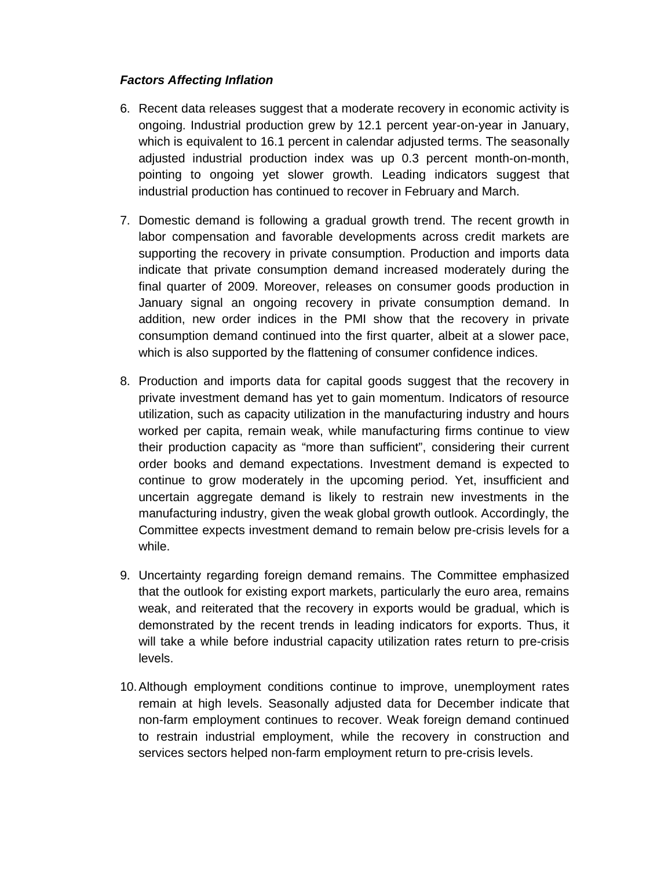## **Factors Affecting Inflation**

- 6. Recent data releases suggest that a moderate recovery in economic activity is ongoing. Industrial production grew by 12.1 percent year-on-year in January, which is equivalent to 16.1 percent in calendar adjusted terms. The seasonally adjusted industrial production index was up 0.3 percent month-on-month, pointing to ongoing yet slower growth. Leading indicators suggest that industrial production has continued to recover in February and March.
- 7. Domestic demand is following a gradual growth trend. The recent growth in labor compensation and favorable developments across credit markets are supporting the recovery in private consumption. Production and imports data indicate that private consumption demand increased moderately during the final quarter of 2009. Moreover, releases on consumer goods production in January signal an ongoing recovery in private consumption demand. In addition, new order indices in the PMI show that the recovery in private consumption demand continued into the first quarter, albeit at a slower pace, which is also supported by the flattening of consumer confidence indices.
- 8. Production and imports data for capital goods suggest that the recovery in private investment demand has yet to gain momentum. Indicators of resource utilization, such as capacity utilization in the manufacturing industry and hours worked per capita, remain weak, while manufacturing firms continue to view their production capacity as "more than sufficient", considering their current order books and demand expectations. Investment demand is expected to continue to grow moderately in the upcoming period. Yet, insufficient and uncertain aggregate demand is likely to restrain new investments in the manufacturing industry, given the weak global growth outlook. Accordingly, the Committee expects investment demand to remain below pre-crisis levels for a while.
- 9. Uncertainty regarding foreign demand remains. The Committee emphasized that the outlook for existing export markets, particularly the euro area, remains weak, and reiterated that the recovery in exports would be gradual, which is demonstrated by the recent trends in leading indicators for exports. Thus, it will take a while before industrial capacity utilization rates return to pre-crisis levels.
- 10. Although employment conditions continue to improve, unemployment rates remain at high levels. Seasonally adjusted data for December indicate that non-farm employment continues to recover. Weak foreign demand continued to restrain industrial employment, while the recovery in construction and services sectors helped non-farm employment return to pre-crisis levels.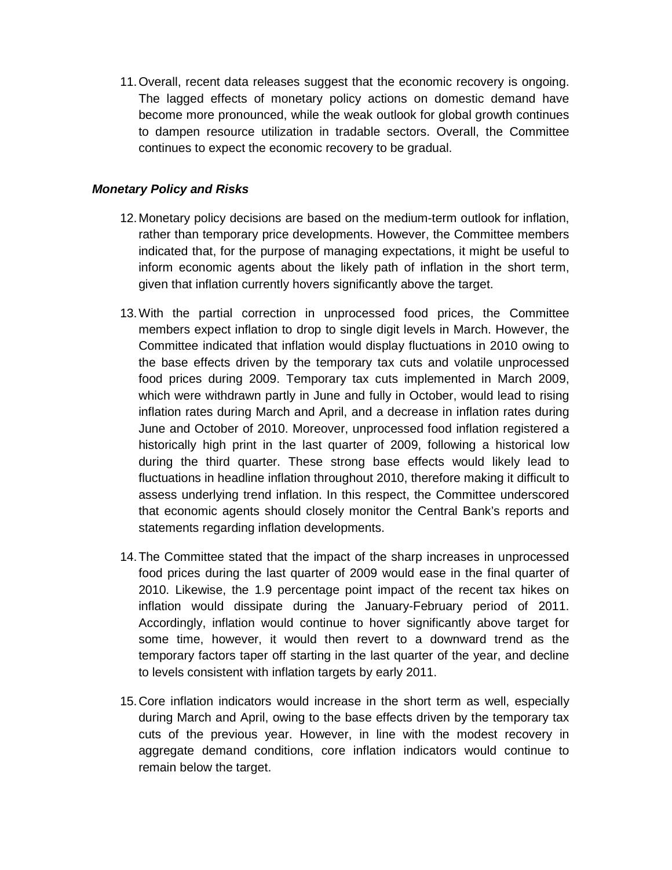11. Overall, recent data releases suggest that the economic recovery is ongoing. The lagged effects of monetary policy actions on domestic demand have become more pronounced, while the weak outlook for global growth continues to dampen resource utilization in tradable sectors. Overall, the Committee continues to expect the economic recovery to be gradual.

## **Monetary Policy and Risks**

- 12. Monetary policy decisions are based on the medium-term outlook for inflation, rather than temporary price developments. However, the Committee members indicated that, for the purpose of managing expectations, it might be useful to inform economic agents about the likely path of inflation in the short term, given that inflation currently hovers significantly above the target.
- 13. With the partial correction in unprocessed food prices, the Committee members expect inflation to drop to single digit levels in March. However, the Committee indicated that inflation would display fluctuations in 2010 owing to the base effects driven by the temporary tax cuts and volatile unprocessed food prices during 2009. Temporary tax cuts implemented in March 2009, which were withdrawn partly in June and fully in October, would lead to rising inflation rates during March and April, and a decrease in inflation rates during June and October of 2010. Moreover, unprocessed food inflation registered a historically high print in the last quarter of 2009, following a historical low during the third quarter. These strong base effects would likely lead to fluctuations in headline inflation throughout 2010, therefore making it difficult to assess underlying trend inflation. In this respect, the Committee underscored that economic agents should closely monitor the Central Bank's reports and statements regarding inflation developments.
- 14. The Committee stated that the impact of the sharp increases in unprocessed food prices during the last quarter of 2009 would ease in the final quarter of 2010. Likewise, the 1.9 percentage point impact of the recent tax hikes on inflation would dissipate during the January-February period of 2011. Accordingly, inflation would continue to hover significantly above target for some time, however, it would then revert to a downward trend as the temporary factors taper off starting in the last quarter of the year, and decline to levels consistent with inflation targets by early 2011.
- 15. Core inflation indicators would increase in the short term as well, especially during March and April, owing to the base effects driven by the temporary tax cuts of the previous year. However, in line with the modest recovery in aggregate demand conditions, core inflation indicators would continue to remain below the target.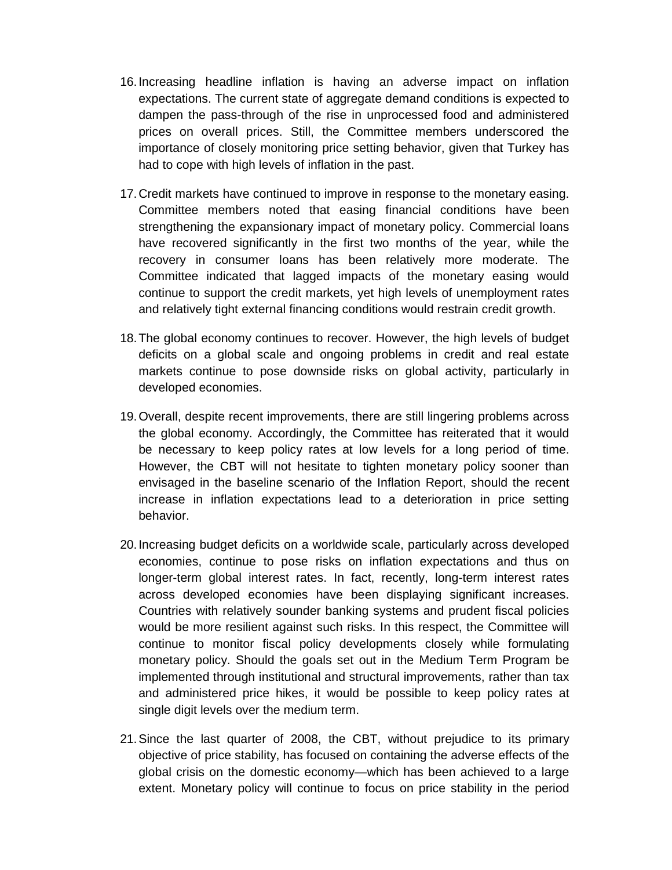- 16. Increasing headline inflation is having an adverse impact on inflation expectations. The current state of aggregate demand conditions is expected to dampen the pass-through of the rise in unprocessed food and administered prices on overall prices. Still, the Committee members underscored the importance of closely monitoring price setting behavior, given that Turkey has had to cope with high levels of inflation in the past.
- 17. Credit markets have continued to improve in response to the monetary easing. Committee members noted that easing financial conditions have been strengthening the expansionary impact of monetary policy. Commercial loans have recovered significantly in the first two months of the year, while the recovery in consumer loans has been relatively more moderate. The Committee indicated that lagged impacts of the monetary easing would continue to support the credit markets, yet high levels of unemployment rates and relatively tight external financing conditions would restrain credit growth.
- 18. The global economy continues to recover. However, the high levels of budget deficits on a global scale and ongoing problems in credit and real estate markets continue to pose downside risks on global activity, particularly in developed economies.
- 19. Overall, despite recent improvements, there are still lingering problems across the global economy. Accordingly, the Committee has reiterated that it would be necessary to keep policy rates at low levels for a long period of time. However, the CBT will not hesitate to tighten monetary policy sooner than envisaged in the baseline scenario of the Inflation Report, should the recent increase in inflation expectations lead to a deterioration in price setting behavior.
- 20. Increasing budget deficits on a worldwide scale, particularly across developed economies, continue to pose risks on inflation expectations and thus on longer-term global interest rates. In fact, recently, long-term interest rates across developed economies have been displaying significant increases. Countries with relatively sounder banking systems and prudent fiscal policies would be more resilient against such risks. In this respect, the Committee will continue to monitor fiscal policy developments closely while formulating monetary policy. Should the goals set out in the Medium Term Program be implemented through institutional and structural improvements, rather than tax and administered price hikes, it would be possible to keep policy rates at single digit levels over the medium term.
- 21. Since the last quarter of 2008, the CBT, without prejudice to its primary objective of price stability, has focused on containing the adverse effects of the global crisis on the domestic economy—which has been achieved to a large extent. Monetary policy will continue to focus on price stability in the period